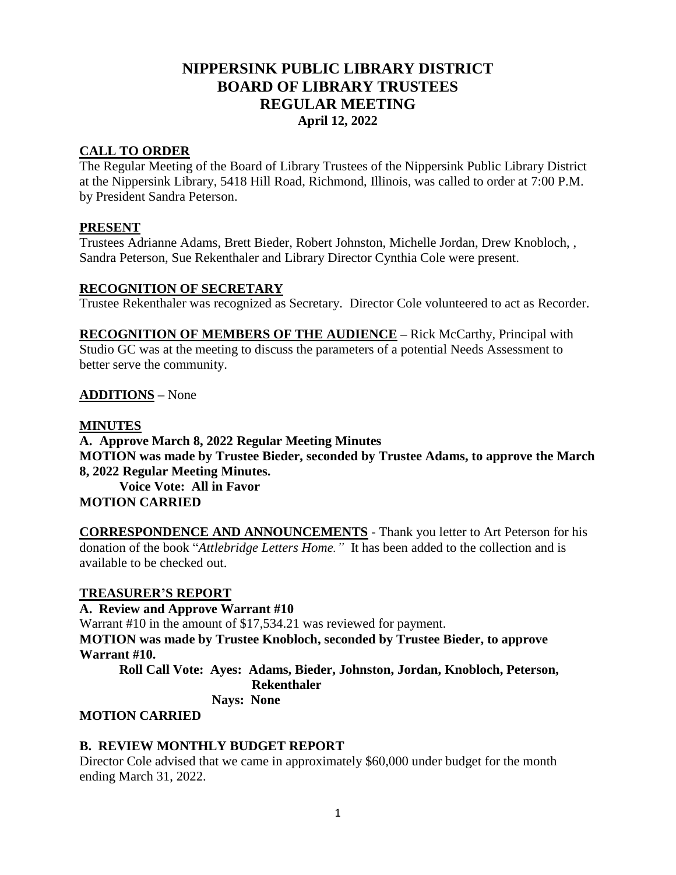# **NIPPERSINK PUBLIC LIBRARY DISTRICT BOARD OF LIBRARY TRUSTEES REGULAR MEETING April 12, 2022**

### **CALL TO ORDER**

The Regular Meeting of the Board of Library Trustees of the Nippersink Public Library District at the Nippersink Library, 5418 Hill Road, Richmond, Illinois, was called to order at 7:00 P.M. by President Sandra Peterson.

### **PRESENT**

Trustees Adrianne Adams, Brett Bieder, Robert Johnston, Michelle Jordan, Drew Knobloch, , Sandra Peterson, Sue Rekenthaler and Library Director Cynthia Cole were present.

### **RECOGNITION OF SECRETARY**

Trustee Rekenthaler was recognized as Secretary. Director Cole volunteered to act as Recorder.

**RECOGNITION OF MEMBERS OF THE AUDIENCE –** Rick McCarthy, Principal with Studio GC was at the meeting to discuss the parameters of a potential Needs Assessment to better serve the community.

### **ADDITIONS** *–* None

### **MINUTES**

**A. Approve March 8, 2022 Regular Meeting Minutes MOTION was made by Trustee Bieder, seconded by Trustee Adams, to approve the March 8, 2022 Regular Meeting Minutes. Voice Vote: All in Favor MOTION CARRIED**

**CORRESPONDENCE AND ANNOUNCEMENTS** - Thank you letter to Art Peterson for his donation of the book "*Attlebridge Letters Home."* It has been added to the collection and is available to be checked out.

#### **TREASURER'S REPORT**

### **A. Review and Approve Warrant #10**

Warrant #10 in the amount of \$17,534.21 was reviewed for payment.

**MOTION was made by Trustee Knobloch, seconded by Trustee Bieder, to approve Warrant #10.**

**Roll Call Vote: Ayes: Adams, Bieder, Johnston, Jordan, Knobloch, Peterson, Rekenthaler**

 **Nays: None**

### **MOTION CARRIED**

### **B. REVIEW MONTHLY BUDGET REPORT**

Director Cole advised that we came in approximately \$60,000 under budget for the month ending March 31, 2022.